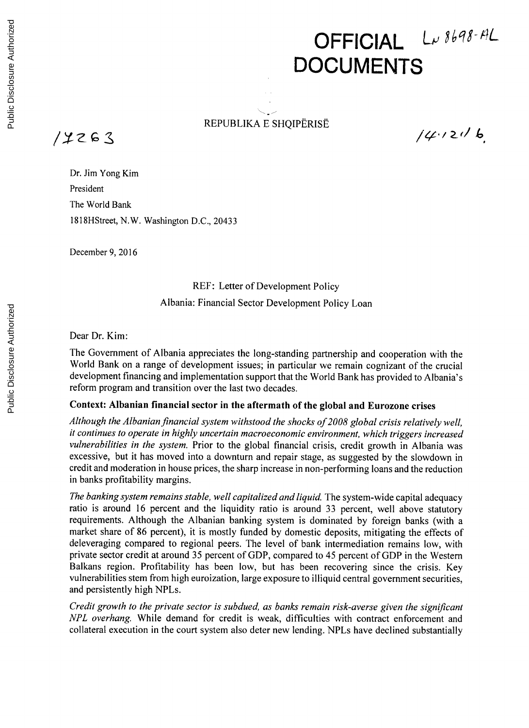# OFFICIAL Lu 8698-AL **DOCUMENTS**

 $14.1216$ 

# REPUBLIKA **E SHQIPERISE**

 $14263$ 

Dr. Jim Yong Kim President The World Bank 1818HStreet, N.W. Washington **D.C.,** 20433

December **9, 2016**

# REF: Letter of Development Policy Albania: Financial Sector Development Policy Loan

### Dear Dr. Kim:

The Government of Albania appreciates the long-standing partnership and cooperation with the World Bank on a range of development issues; in particular we remain cognizant of the crucial development financing and implementation support that the World Bank has provided to Albania's reform program and transition over the last two decades.

## **Context: Albanian financial sector in the aftermath of the global and Eurozone crises**

*Although the Albanian financial system withstood the shocks of 2008 global crisis relatively well, it continues to operate in highly uncertain macroeconomic environment, which triggers increased vulnerabilities in the system.* Prior to the global financial crisis, credit growth in Albania was excessive, but it has moved into a downturn and repair stage, as suggested **by** the slowdown in credit and moderation in house prices, the sharp increase in non-performing loans and the reduction in banks profitability margins.

*The banking system remains stable, well capitalized and liquid.* The system-wide capital adequacy ratio is around **16** percent and the liquidity ratio is around **33** percent, well above statutory requirements. Although the Albanian banking system is dominated **by** foreign banks (with a market share of **86** percent), it is mostly funded **by** domestic deposits, mitigating the effects of deleveraging compared to regional peers. The level of bank intermediation remains low, with private sector credit at around **35** percent of **GDP,** compared to *45* percent of **GDP** in the Western Balkans region. Profitability has been low, but has been recovering since the crisis. Key vulnerabilities stem from high euroization, large exposure to illiquid central government securities, and persistently high NPLs.

*Credit growth to the private sector is subdued, as banks remain risk-averse given the significant NPL overhang.* While demand for credit is weak, difficulties with contract enforcement and collateral execution in the court system also deter new lending. NPLs have declined substantially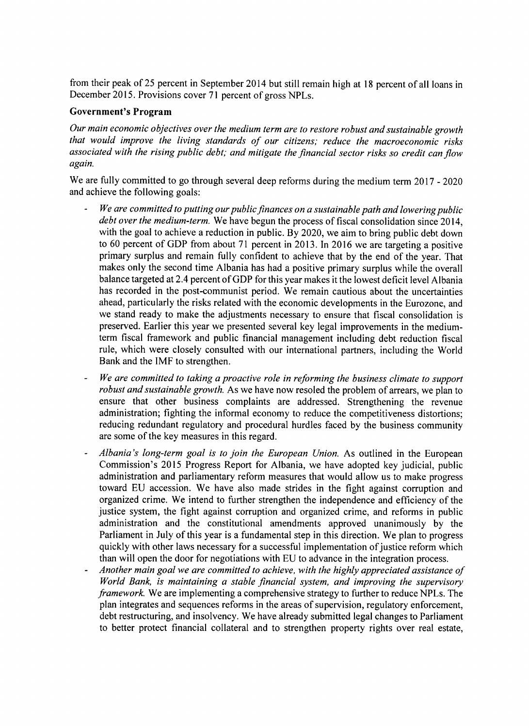from their peak of **25** percent in September 2014 but still remain high at **18** percent of all loans in December **2015.** Provisions cover **71** percent of gross NPLs.

#### **Government's Program**

*Our main economic objectives over the medium term are to restore robust and sustainable growth that would improve the living standards of our citizens; reduce the macroeconomic risks associated with the rising public debt; and mitigate the financial sector risks so credit can flow again.*

We are fully committed to go through several deep reforms during the medium term **2017 -** 2020 and achieve the following goals:

- **-** *We are committed to putting our public finances on a sustainable path and lowering public debt over the medium-term.* We have begun the process of fiscal consolidation since 2014, with the goal to achieve a reduction in public. **By** 2020, we aim to bring public debt down to **60** percent of **GDP** from about **71** percent in **2013.** In **2016** we are targeting a positive primary surplus and remain fully confident to achieve that **by** the end of the year. That makes only the second time Albania has had a positive primary surplus while the overall balance targeted at 2.4 percent of **GDP** for this year makes it the lowest deficit level Albania has recorded in the post-communist period. We remain cautious about the uncertainties ahead, particularly the risks related with the economic developments in the Eurozone, and we stand ready to make the adjustments necessary to ensure that fiscal consolidation is preserved. Earlier this year we presented several key legal improvements in the mediumterm fiscal framework and public financial management including debt reduction fiscal rule, which were closely consulted with our international partners, including the World Bank and the IMF to strengthen.
- **-** *We are committed to taking a proactive role in reforming the business climate to support robust and sustainable growth.* As we have now resoled the problem of arrears, we plan to ensure that other business complaints are addressed. Strengthening the revenue administration; fighting the informal economy to reduce the competitiveness distortions; reducing redundant regulatory and procedural hurdles faced **by** the business community are some of the key measures in this regard.
- **-** *Albania's long-term goal is to join the European Union.* As outlined in the European Commission's **2015** Progress Report for Albania, we have adopted key judicial, public administration and parliamentary reform measures that would allow us to make progress toward **EU** accession. We have also made strides in the fight against corruption and organized crime. We intend to further strengthen the independence and efficiency of the justice system, the fight against corruption and organized crime, and reforms in public administration and the constitutional amendments approved unanimously **by** the Parliament in July of this year is a fundamental step in this direction. We plan to progress quickly with other laws necessary for a successful implementation of justice reform which than will open the door for negotiations with EU to advance in the integration process.
- than will open the door for negotiations with **EU** to advance in the integration process. **-** *Another main goal we are committed to achieve, with the highly appreciated assistance of World Bank, is maintaining a stable financial system, and improving the supervisory framework.* We are implementing a comprehensive strategy to further to reduce NPLs. The plan integrates and sequences reforms in the areas of supervision, regulatory enforcement, debt restructuring, and insolvency. We have already submitted legal changes to Parliament to better protect financial collateral and to strengthen property rights over real estate,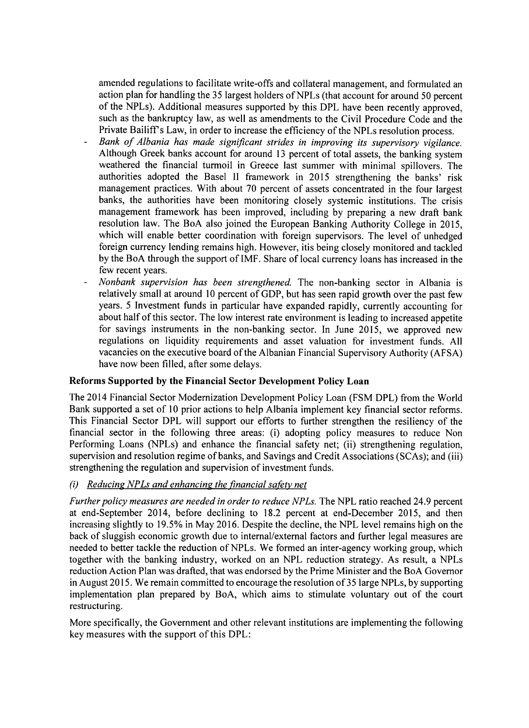amended regulations to facilitate write-offs and collateral management, and formulated an action plan for handling the **35** largest holders of NPLs (that account for around **50** percent of the NPLs). Additional measures supported **by** this DPL have been recently approved, such as the bankruptcy law, as well as amendments to the Civil Procedure Code and the Private Bailiff's Law, in order to increase the efficiency of the NPLs resolution process.

- Bank of Albania has made significant strides in improving its supervisory vigilance. Although Greek banks account for around **13** percent of total assets, the banking system weathered the financial turmoil in Greece last summer with minimal spillovers. The authorities adopted the Basel II framework in **2015** strengthening the banks' risk management practices. With about **70** percent of assets concentrated in the four largest banks, the authorities have been monitoring closely systemic institutions. The crisis management framework has been improved, including **by** preparing a new draft bank resolution law. The BoA also joined the European Banking Authority College in **2015,** which will enable better coordination with foreign supervisors. The level of unhedged foreign currency lending remains high. However, itis being closely monitored and tackled **by** the BoA through the support of IMF. Share of local currency loans has increased in the few recent years.
- **-** *Nonbank supervision has been strengthened.* The non-banking sector in Albania is relatively small at around **10** percent of **GDP,** but has seen rapid growth over the past few years. *5* Investment funds in particular have expanded rapidly, currently accounting for about half of this sector. The low interest rate environment is leading to increased appetite for savings instruments in the non-banking sector. In June **2015,** we approved new regulations on liquidity requirements and asset valuation for investment funds. **All** vacancies on the executive board of the Albanian Financial Supervisory Authority **(AFSA)** have now been filled, after some delays.

### Reforms Supported **by** the Financial Sector Development Policy Loan

The 2014 Financial Sector Modernization Development Policy Loan **(FSM** DPL) from the World Bank supported a set of **10** prior actions to help Albania implement key financial sector reforms. This Financial Sector DPL will support our efforts to further strengthen the resiliency of the financial sector in the following three areas: (i) adopting policy measures to reduce Non Performing Loans (NPLs) and enhance the financial safety net; (ii) strengthening regulation, supervision and resolution regime of banks, and Savings and Credit Associations (SCAs); and (iii) strengthening the regulation and supervision of investment funds.

# *(i) Reducing NPLs and enhancing the financial safety net*

*Further policy measures are needed in order to reduce NPLs.* The **NPL** ratio reached 24.9 percent at end-September 2014, before declining to **18.2** percent at end-December **2015,** and then increasing slightly to **19.5%** in May **2016.** Despite the decline, the **NPL** level remains high on the back of sluggish economic growth due to internal/external factors and further legal measures are needed to better tackle the reduction of NPLs. We formed an inter-agency working group, which together with the banking industry, worked on an **NPL** reduction strategy. As result, a NPLs reduction Action Plan was drafted, that was endorsed **by** the Prime Minister and the BoA Governor in August **2015.** We remain committed to encourage the resolution of **35** large NPLs, **by** supporting implementation plan prepared **by** BoA, which aims to stimulate voluntary out of the court restructuring.

More specifically, the Government and other relevant institutions are implementing the following key measures with the support of this DPL: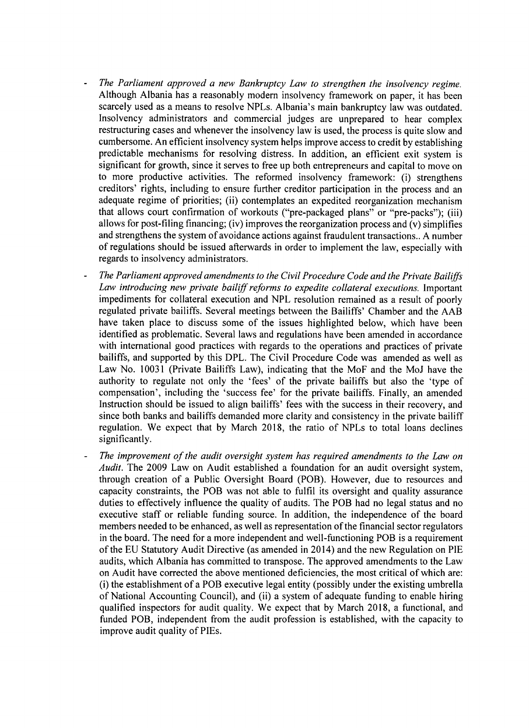- *The Parliament approved a new Bankruptcy Law to strengthen the insolvency regime.* Although Albania has a reasonably modem insolvency framework on paper, it has been scarcely used as a means to resolve NPLs. Albania's main bankruptcy law was outdated. Insolvency administrators and commercial judges are unprepared to hear complex restructuring cases and whenever the insolvency law is used, the process is quite slow and cumbersome. An efficient insolvency system helps improve access to credit **by** establishing predictable mechanisms for resolving distress. In addition, an efficient exit system is significant for growth, since it serves to free up both entrepreneurs and capital to move on to more productive activities. The reformed insolvency framework: (i) strengthens creditors' rights, including to ensure further creditor participation in the process and an adequate regime of priorities; (ii) contemplates an expedited reorganization mechanism that allows court confirmation of workouts ("pre-packaged plans" or "pre-packs"); (iii) allows for post-filing financing; (iv) improves the reorganization process and (v) simplifies and strengthens the system of avoidance actions against fraudulent transactions.. **A** number of regulations should be issued afterwards in order to implement the law, especially with regards to insolvency administrators.
- *The Parliament approved amendments to the Civil Procedure Code and the Private Bailiffs* Law introducing new private bailiff reforms to expedite collateral executions. Important impediments for collateral execution and **NPL** resolution remained as a result of poorly regulated private bailiffs. Several meetings between the Bailiffs' Chamber and the **AAB** have taken place to discuss some of the issues highlighted below, which have been identified as problematic. Several laws and regulations have been amended in accordance with international good practices with regards to the operations and practices of private bailiffs, and supported **by** this DPL. The Civil Procedure Code was amended as well as Law No. **10031** (Private Bailiffs Law), indicating that the MoF and the MoJ have the authority to regulate not only the 'fees' of the private bailiffs but also the 'type of compensation', including the 'success fee' for the private bailiffs. Finally, an amended Instruction should be issued to align bailiffs' fees with the success in their recovery, and since both banks and bailiffs demanded more clarity and consistency in the private bailiff regulation. We expect that **by** March **2018,** the ratio of NPLs to total loans declines significantly.
- *The improvement of the audit oversight system has required amendments to the Law on Audit.* The **2009** Law on Audit established a foundation for an audit oversight system, through creation of a Public Oversight Board (POB). However, due to resources and capacity constraints, the POB was not able to fulfil its oversight and quality assurance duties to effectively influence the quality of audits. The POB had no legal status and no executive staff or reliable funding source. In addition, the independence of the board members needed to be enhanced, as well as representation of the financial sector regulators in the board. The need for a more independent and well-functioning POB is a requirement of the **EU** Statutory Audit Directive (as amended in 2014) and the new Regulation on PIE audits, which Albania has committed to transpose. The approved amendments to the Law on Audit have corrected the above mentioned deficiencies, the most critical of which are: (i) the establishment of a POB executive legal entity (possibly under the existing umbrella of National Accounting Council), and (ii) a system of adequate funding to enable hiring qualified inspectors for audit quality. We expect that **by** March **2018,** a functional, and funded POB, independent from the audit profession is established, with the capacity to improve audit quality of PIEs.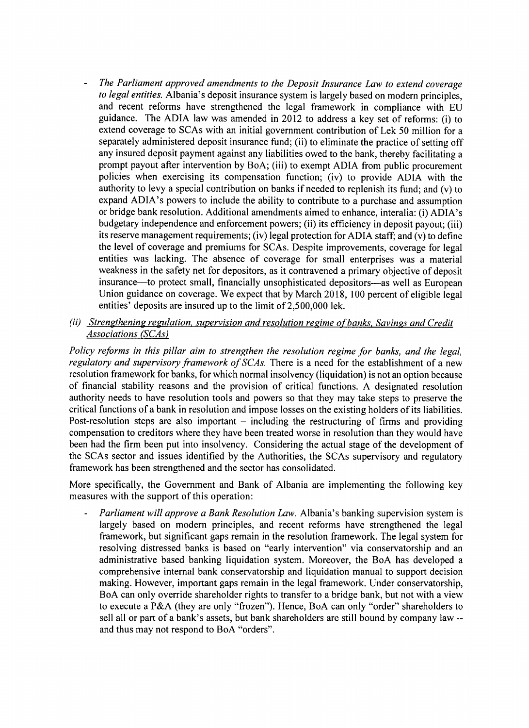- The Parliament approved amendments to the Deposit Insurance Law to extend coverage *to legal entities.* Albania's deposit insurance system is largely based on modem principles, and recent reforms have strengthened the legal framework in compliance with **EU** guidance. The **ADIA** law was amended in 2012 to address a key set of reforms: (i) to extend coverage to SCAs with an initial government contribution of Lek **50** million for a separately administered deposit insurance fund; (ii) to eliminate the practice of setting off any insured deposit payment against any liabilities owed to the bank, thereby facilitating a prompt payout after intervention **by** BoA; (iii) to exempt **ADIA** from public procurement policies when exercising its compensation function; (iv) to provide **ADIA** with the authority to levy a special contribution on banks if needed to replenish its fund; and (v) to expand ADIA's powers to include the ability to contribute to a purchase and assumption or bridge bank resolution. Additional amendments aimed to enhance, interalia: (i) ADIA's budgetary independence and enforcement powers; (ii) its efficiency in deposit payout; (iii) its reserve management requirements; (iv) legal protection for **ADIA** staff; and (v) to define the level of coverage and premiums for SCAs. Despite improvements, coverage for legal entities was lacking. The absence of coverage for small enterprises was a material weakness in the safety net for depositors, as it contravened a primary objective of deposit insurance-to protect small, financially unsophisticated depositors-as well as European Union guidance on coverage. We expect that **by** March **2018, 100** percent of eligible legal entities' deposits are insured up to the limit of **2,500,000** lek.
- *(ii) Strengthening regulation, supervision and resolution regime of banks, Savings and Credit Associations (SCAs)*

*Policy reforms in this pillar aim to strengthen the resolution regime for banks, and the legal, regulatory and supervisory framework of SCAs.* There is a need for the establishment of a new resolution framework for banks, for which normal insolvency (liquidation) is not an option because of financial stability reasons and the provision of critical functions. **A** designated resolution authority needs to have resolution tools and powers so that they may take steps to preserve the critical functions of a bank in resolution and impose losses on the existing holders of its liabilities. Post-resolution steps are also important – including the restructuring of firms and providing compensation to creditors where they have been treated worse in resolution than they would have been had the firm been put into insolvency. Considering the actual stage of the development of the SCAs sector and issues identified **by** the Authorities, the SCAs supervisory and regulatory framework has been strengthened and the sector has consolidated.

More specifically, the Government and Bank of Albania are implementing the following key measures with the support of this operation:

**-** *Parliament will approve a Bank Resolution Law.* Albania's banking supervision system is largely based on modern principles, and recent reforms have strengthened the legal framework, but significant gaps remain in the resolution framework. The legal system for resolving distressed banks is based on "early intervention" via conservatorship and an administrative based banking liquidation system. Moreover, the BoA has developed a comprehensive internal bank conservatorship and liquidation manual to support decision making. However, important gaps remain in the legal framework. Under conservatorship, BoA can only override shareholder rights to transfer to a bridge bank, but not with a view to execute a P&A (they are only "frozen"). Hence, BoA can only "order" shareholders to sell all or part of a bank's assets, but bank shareholders are still bound **by** company law **-** and thus may not respond to BoA "orders".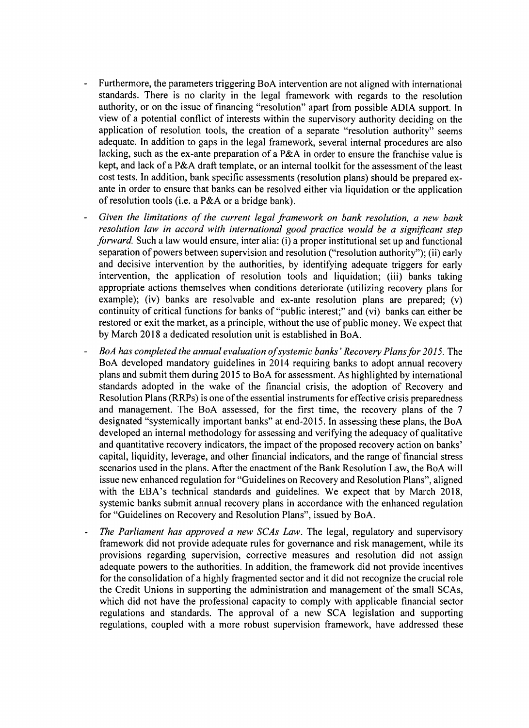- Furthermore, the parameters triggering BoA intervention are not aligned with international standards. There is no clarity in the legal framework with regards to the resolution authority, or on the issue of financing "resolution" apart from possible **ADIA** support. In view of a potential conflict of interests within the supervisory authority deciding on the application of resolution tools, the creation of a separate "resolution authority" seems adequate. In addition to gaps in the legal framework, several internal procedures are also lacking, such as the ex-ante preparation of a P&A in order to ensure the franchise value is kept, and lack of a P&A draft template, or an internal toolkit for the assessment of the least cost tests. In addition, bank specific assessments (resolution plans) should be prepared exante in order to ensure that banks can be resolved either via liquidation or the application of resolution tools (i.e. a P&A or a bridge bank).
- *Given the limitations of the current legal framework on bank resolution, a new bank resolution law in accord with international good practice would be a significant step forward.* Such a law would ensure, inter alia: (i) a proper institutional set up and functional separation of powers between supervision and resolution ("resolution authority"); (ii) early and decisive intervention **by** the authorities, **by** identifying adequate triggers for early intervention, the application of resolution tools and liquidation; (iii) banks taking appropriate actions themselves when conditions deteriorate (utilizing recovery plans for example); (iv) banks are resolvable and ex-ante resolution plans are prepared; (v) continuity of critical functions for banks of "public interest;" and (vi) banks can either be restored or exit the market, as a principle, without the use of public money. We expect that **by** March **2018** a dedicated resolution unit is established in BoA.
- *BoA has completed the annual evaluation of systemic banks' Recovery Plans for 2015.* The BoA developed mandatory guidelines in 2014 requiring banks to adopt annual recovery plans and submit them during **2015** to BoA for assessment. As highlighted **by** international standards adopted in the wake of the financial crisis, the adoption of Recovery and Resolution Plans (RRPs) is one of the essential instruments for effective crisis preparedness and management. The BoA assessed, for the first time, the recovery plans of the **7** designated "systemically important banks" at end-2015. In assessing these plans, the BoA developed an internal methodology for assessing and verifying the adequacy of qualitative and quantitative recovery indicators, the impact of the proposed recovery action on banks' capital, liquidity, leverage, and other financial indicators, and the range of financial stress scenarios used in the plans. After the enactment of the Bank Resolution Law, the BoA will issue new enhanced regulation for "Guidelines on Recovery and Resolution Plans", aligned with the EBA's technical standards and guidelines. We expect that **by** March **2018,** systemic banks submit annual recovery plans in accordance with the enhanced regulation for "Guidelines on Recovery and Resolution Plans", issued **by** BoA.
- *The Parliament has approved a new SCAs Law.* The legal, regulatory and supervisory framework did not provide adequate rules for governance and risk management, while its provisions regarding supervision, corrective measures and resolution did not assign adequate powers to the authorities. In addition, the framework did not provide incentives for the consolidation of a **highly** fragmented sector and it did not recognize the crucial role the Credit Unions in supporting the administration and management of the small SCAs, which did not have the professional capacity to comply with applicable financial sector regulations and standards. The approval of a new **SCA** legislation and supporting regulations, coupled with a more robust supervision framework, have addressed these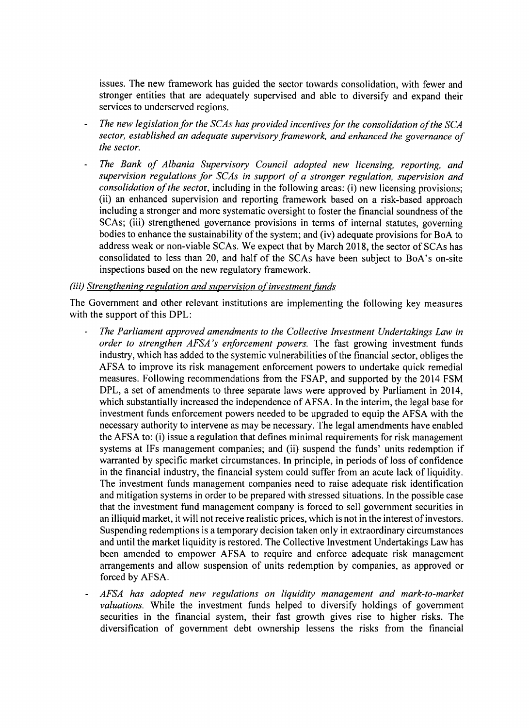issues. The new framework has guided the sector towards consolidation, with fewer and stronger entities that are adequately supervised and able to diversify and expand their services to underserved regions.

- *The new legislation for the SCAs has provided incentives for the consolidation of the SCA sector, established an adequate supervisory framework, and enhanced the governance of the sector.*
- *The Bank of Albania Supervisory Council adopted new licensing, reporting, and supervision regulations for SCAs in support of a stronger regulation, supervision and consolidation of the sector,* including in the following areas: (i) new licensing provisions; (ii) an enhanced supervision and reporting framework based on a risk-based approach including a stronger and more systematic oversight to foster the financial soundness of the SCAs; (iii) strengthened governance provisions in terms of internal statutes, governing bodies to enhance the sustainability of the system; and (iv) adequate provisions for BoA to address weak or non-viable SCAs. We expect that **by** March **2018,** the sector of SCAs has consolidated to less than 20, and half of the SCAs have been subject to BoA's on-site inspections based on the new regulatory framework.

#### *(iii) Strengthening regulation and supervision of investment funds*

The Government and other relevant institutions are implementing the following key measures with the support of this DPL:

- *The Parliament approved amendments to the Collective Investment Undertakings Law in order to strengthen AFSA's enforcement powers.* The fast growing investment funds industry, which has added to the systemic vulnerabilities of the financial sector, obliges the **AFSA** to improve its risk management enforcement powers to undertake quick remedial measures. Following recommendations from the **FSAP,** and supported **by** the 2014 **FSM** DPL, a set of amendments to three separate laws were approved **by** Parliament in 2014, which substantially increased the independence of **AFSA.** In the interim, the legal base for investment funds enforcement powers needed to be upgraded to equip the **AFSA** with the necessary authority to intervene as may be necessary. The legal amendments have enabled the **AFSA** to: (i) issue a regulation that defines minimal requirements for risk management systems at IFs management companies; and (ii) suspend the funds' units redemption if warranted **by** specific market circumstances. In principle, in periods of loss of confidence in the financial industry, the financial system could suffer from an acute lack of liquidity. The investment funds management companies need to raise adequate risk identification and mitigation systems in order to be prepared with stressed situations. In the possible case that the investment fund management company is forced to sell government securities in an illiquid market, it will not receive realistic prices, which is not in the interest of investors. Suspending redemptions is a temporary decision taken only in extraordinary circumstances and until the market liquidity is restored. The Collective Investment Undertakings Law has been amended to empower **AFSA** to require and enforce adequate risk management arrangements and allow suspension of units redemption **by** companies, as approved or forced **by AFSA.**
- **-** *AFSA has adopted new regulations on liquidity management and mark-to-market valuations.* While the investment funds helped to diversify holdings of government securities in the financial system, their fast growth gives rise to higher risks. The diversification of government debt ownership lessens the risks from the financial